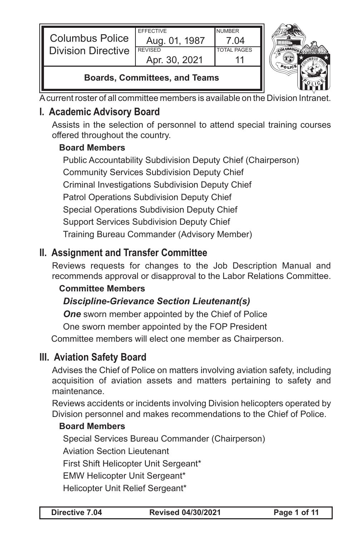|                           | <b>EFFECTIVE</b> | <b>NUMBER</b> |  |
|---------------------------|------------------|---------------|--|
| <b>Columbus Police</b>    | Aug. 01, 1987    |               |  |
| <b>Division Directive</b> | <b>REVISED</b>   | TOTAL PAGES   |  |
|                           | Apr. 30, 2021    |               |  |
|                           |                  |               |  |



### **Boards, Committees, and Teams**

A current roster of all committee members is available on the Division I

## **I. Academic Advisory Board**

Assists in the selection of personnel to attend special training courses offered throughout the country.

#### **Board Members**

Public Accountability Subdivision Deputy Chief (Chairperson) Community Services Subdivision Deputy Chief Criminal Investigations Subdivision Deputy Chief Patrol Operations Subdivision Deputy Chief Special Operations Subdivision Deputy Chief Support Services Subdivision Deputy Chief Training Bureau Commander (Advisory Member)

## **II. Assignment and Transfer Committee**

Reviews requests for changes to the Job Description Manual and recommends approval or disapproval to the Labor Relations Committee.

#### **Committee Members**

## *Discipline-Grievance Section Lieutenant(s)*

**One** sworn member appointed by the Chief of Police

One sworn member appointed by the FOP President

Committee members will elect one member as Chairperson.

## **III. Aviation Safety Board**

Advises the Chief of Police on matters involving aviation safety, including acquisition of aviation assets and matters pertaining to safety and maintenance.

Reviews accidents or incidents involving Division helicopters operated by Division personnel and makes recommendations to the Chief of Police.

### **Board Members**

Special Services Bureau Commander (Chairperson) Aviation Section Lieutenant

First Shift Helicopter Unit Sergeant\*

EMW Helicopter Unit Sergeant\*

Helicopter Unit Relief Sergeant\*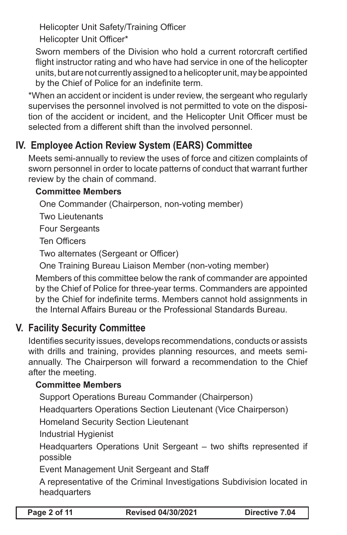Helicopter Unit Safety/Training Officer

Helicopter Unit Officer\*

Sworn members of the Division who hold a current rotorcraft certified flight instructor rating and who have had service in one of the helicopter units, but are not currently assigned to a helicopter unit, may be appointed by the Chief of Police for an indefinite term.

\*When an accident or incident is under review, the sergeant who regularly supervises the personnel involved is not permitted to vote on the disposition of the accident or incident, and the Helicopter Unit Officer must be selected from a different shift than the involved personnel.

# **IV. Employee Action Review System (EARS) Committee**

Meets semi-annually to review the uses of force and citizen complaints of sworn personnel in order to locate patterns of conduct that warrant further review by the chain of command.

### **Committee Members**

One Commander (Chairperson, non-voting member)

Two Lieutenants

Four Sergeants

Ten Officers

Two alternates (Sergeant or Officer)

One Training Bureau Liaison Member (non-voting member)

Members of this committee below the rank of commander are appointed by the Chief of Police for three-year terms. Commanders are appointed by the Chief for indefinite terms. Members cannot hold assignments in the Internal Affairs Bureau or the Professional Standards Bureau.

# **V. Facility Security Committee**

Identifies security issues, develops recommendations, conducts or assists with drills and training, provides planning resources, and meets semiannually. The Chairperson will forward a recommendation to the Chief after the meeting.

## **Committee Members**

Support Operations Bureau Commander (Chairperson)

Headquarters Operations Section Lieutenant (Vice Chairperson)

Homeland Security Section Lieutenant

Industrial Hygienist

Headquarters Operations Unit Sergeant – two shifts represented if possible

Event Management Unit Sergeant and Staff

A representative of the Criminal Investigations Subdivision located in headquarters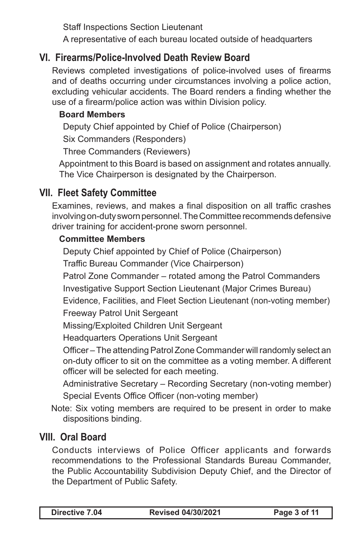Staff Inspections Section Lieutenant

A representative of each bureau located outside of headquarters

## **VI. Firearms/Police-Involved Death Review Board**

Reviews completed investigations of police-involved uses of firearms and of deaths occurring under circumstances involving a police action, excluding vehicular accidents. The Board renders a finding whether the use of a firearm/police action was within Division policy.

### **Board Members**

Deputy Chief appointed by Chief of Police (Chairperson)

Six Commanders (Responders)

Three Commanders (Reviewers)

Appointment to this Board is based on assignment and rotates annually. The Vice Chairperson is designated by the Chairperson.

# **VII. Fleet Safety Committee**

Examines, reviews, and makes a final disposition on all traffic crashes involving on-duty sworn personnel. The Committee recommends defensive driver training for accident-prone sworn personnel.

### **Committee Members**

Deputy Chief appointed by Chief of Police (Chairperson)

Traffic Bureau Commander (Vice Chairperson)

Patrol Zone Commander – rotated among the Patrol Commanders

Investigative Support Section Lieutenant (Major Crimes Bureau)

Evidence, Facilities, and Fleet Section Lieutenant (non-voting member) Freeway Patrol Unit Sergeant

Missing/Exploited Children Unit Sergeant

Headquarters Operations Unit Sergeant

Officer – The attending Patrol Zone Commander will randomly select an on-duty officer to sit on the committee as a voting member. A different officer will be selected for each meeting.

Administrative Secretary – Recording Secretary (non-voting member) Special Events Office Officer (non-voting member)

Note: Six voting members are required to be present in order to make dispositions binding.

# **VIII. Oral Board**

Conducts interviews of Police Officer applicants and forwards recommendations to the Professional Standards Bureau Commander, the Public Accountability Subdivision Deputy Chief, and the Director of the Department of Public Safety.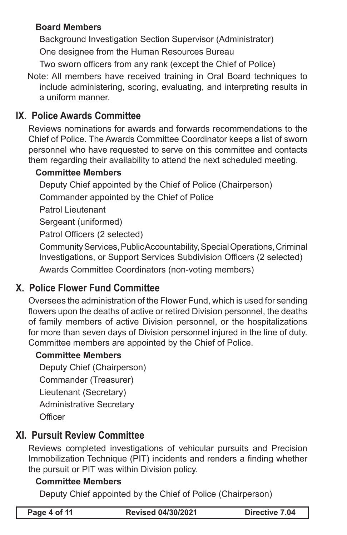#### **Board Members**

Background Investigation Section Supervisor (Administrator) One designee from the Human Resources Bureau

Two sworn officers from any rank (except the Chief of Police)

Note: All members have received training in Oral Board techniques to include administering, scoring, evaluating, and interpreting results in a uniform manner.

## **IX. Police Awards Committee**

Reviews nominations for awards and forwards recommendations to the Chief of Police. The Awards Committee Coordinator keeps a list of sworn personnel who have requested to serve on this committee and contacts them regarding their availability to attend the next scheduled meeting.

#### **Committee Members**

Deputy Chief appointed by the Chief of Police (Chairperson) Commander appointed by the Chief of Police

Patrol Lieutenant

Sergeant (uniformed)

Patrol Officers (2 selected)

Community Services, Public Accountability, Special Operations, Criminal Investigations, or Support Services Subdivision Officers (2 selected) Awards Committee Coordinators (non-voting members)

## **X. Police Flower Fund Committee**

Oversees the administration of the Flower Fund, which is used for sending flowers upon the deaths of active or retired Division personnel, the deaths of family members of active Division personnel, or the hospitalizations for more than seven days of Division personnel injured in the line of duty. Committee members are appointed by the Chief of Police.

#### **Committee Members**

```
Deputy Chief (Chairperson)
Commander (Treasurer)
Lieutenant (Secretary)
Administrative Secretary
Officer
```
# **XI. Pursuit Review Committee**

Reviews completed investigations of vehicular pursuits and Precision Immobilization Technique (PIT) incidents and renders a finding whether the pursuit or PIT was within Division policy.

#### **Committee Members**

Deputy Chief appointed by the Chief of Police (Chairperson)

| Page 4 of 11 |  |  |  |  |
|--------------|--|--|--|--|
|--------------|--|--|--|--|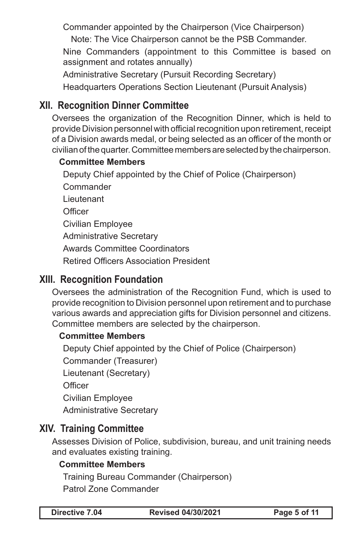Commander appointed by the Chairperson (Vice Chairperson)

Note: The Vice Chairperson cannot be the PSB Commander.

Nine Commanders (appointment to this Committee is based on assignment and rotates annually)

Administrative Secretary (Pursuit Recording Secretary)

Headquarters Operations Section Lieutenant (Pursuit Analysis)

## **XII. Recognition Dinner Committee**

Oversees the organization of the Recognition Dinner, which is held to provide Division personnel with official recognition upon retirement, receipt of a Division awards medal, or being selected as an officer of the month or civilian of the quarter. Committee members are selected by the chairperson.

### **Committee Members**

Deputy Chief appointed by the Chief of Police (Chairperson) **Commander** Lieutenant **Officer** Civilian Employee Administrative Secretary Awards Committee Coordinators Retired Officers Association President

## **XIII. Recognition Foundation**

Oversees the administration of the Recognition Fund, which is used to provide recognition to Division personnel upon retirement and to purchase various awards and appreciation gifts for Division personnel and citizens. Committee members are selected by the chairperson.

#### **Committee Members**

Deputy Chief appointed by the Chief of Police (Chairperson)

Commander (Treasurer)

Lieutenant (Secretary)

**Officer** 

Civilian Employee

Administrative Secretary

## **XIV. Training Committee**

Assesses Division of Police, subdivision, bureau, and unit training needs and evaluates existing training.

### **Committee Members**

Training Bureau Commander (Chairperson)

Patrol Zone Commander

**Directive 7.04 Revised 04/30/2021 Page 5 of 11**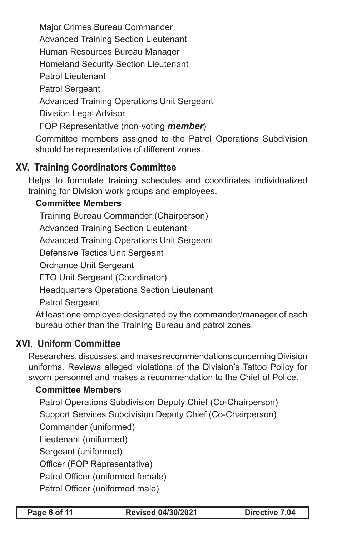Major Crimes Bureau Commander Advanced Training Section Lieutenant Human Resources Bureau Manager Homeland Security Section Lieutenant Patrol Lieutenant Patrol Sergeant Advanced Training Operations Unit Sergeant Division Legal Advisor FOP Representative (non-voting *member*) Committee members assigned to the Patrol Operations Subdivision should be representative of different zones.

## **XV. Training Coordinators Committee**

Helps to formulate training schedules and coordinates individualized training for Division work groups and employees.

### **Committee Members**

Training Bureau Commander (Chairperson) Advanced Training Section Lieutenant Advanced Training Operations Unit Sergeant Defensive Tactics Unit Sergeant Ordnance Unit Sergeant FTO Unit Sergeant (Coordinator) Headquarters Operations Section Lieutenant Patrol Sergeant At least one employee designated by the commander/manager of each

bureau other than the Training Bureau and patrol zones.

## **XVI. Uniform Committee**

Researches, discusses, and makes recommendations concerning Division uniforms. Reviews alleged violations of the Division's Tattoo Policy for sworn personnel and makes a recommendation to the Chief of Police.

## **Committee Members**

Patrol Operations Subdivision Deputy Chief (Co-Chairperson) Support Services Subdivision Deputy Chief (Co-Chairperson) Commander (uniformed) Lieutenant (uniformed) Sergeant (uniformed) Officer (FOP Representative) Patrol Officer (uniformed female) Patrol Officer (uniformed male)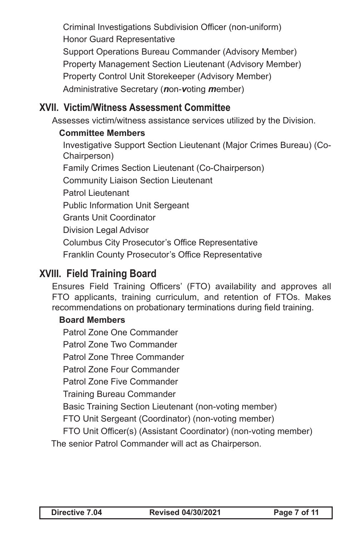Criminal Investigations Subdivision Officer (non-uniform) Honor Guard Representative Support Operations Bureau Commander (Advisory Member) Property Management Section Lieutenant (Advisory Member) Property Control Unit Storekeeper (Advisory Member) Administrative Secretary (*n*on-*v*oting *m*ember)

## **XVII. Victim/Witness Assessment Committee**

Assesses victim/witness assistance services utilized by the Division.

#### **Committee Members**

Investigative Support Section Lieutenant (Major Crimes Bureau) (Co-Chairperson) Family Crimes Section Lieutenant (Co-Chairperson) Community Liaison Section Lieutenant Patrol Lieutenant Public Information Unit Sergeant Grants Unit Coordinator Division Legal Advisor Columbus City Prosecutor's Office Representative Franklin County Prosecutor's Office Representative

## **XVIII. Field Training Board**

Ensures Field Training Officers' (FTO) availability and approves all FTO applicants, training curriculum, and retention of FTOs. Makes recommendations on probationary terminations during field training.

#### **Board Members**

Patrol Zone One Commander

Patrol Zone Two Commander

Patrol Zone Three Commander

Patrol Zone Four Commander

Patrol Zone Five Commander

Training Bureau Commander

Basic Training Section Lieutenant (non-voting member)

FTO Unit Sergeant (Coordinator) (non-voting member)

FTO Unit Officer(s) (Assistant Coordinator) (non-voting member)

The senior Patrol Commander will act as Chairperson.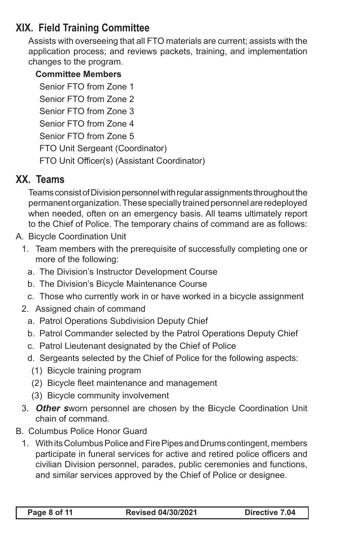# **XIX. Field Training Committee**

Assists with overseeing that all FTO materials are current; assists with the application process; and reviews packets, training, and implementation changes to the program.

#### **Committee Members**

Senior FTO from Zone 1 Senior FTO from Zone 2 Senior FTO from Zone 3 Senior FTO from Zone 4 Senior FTO from Zone 5 FTO Unit Sergeant (Coordinator) FTO Unit Officer(s) (Assistant Coordinator)

## **XX. Teams**

Teams consist of Division personnel with regular assignments throughout the permanent organization. These specially trained personnel are redeployed when needed, often on an emergency basis. All teams ultimately report to the Chief of Police. The temporary chains of command are as follows:

- A. Bicycle Coordination Unit
	- 1. Team members with the prerequisite of successfully completing one or more of the following:
		- a. The Division's Instructor Development Course
		- b. The Division's Bicycle Maintenance Course
		- c. Those who currently work in or have worked in a bicycle assignment
	- 2. Assigned chain of command
		- a. Patrol Operations Subdivision Deputy Chief
		- b. Patrol Commander selected by the Patrol Operations Deputy Chief
		- c. Patrol Lieutenant designated by the Chief of Police
		- d. Sergeants selected by the Chief of Police for the following aspects:
			- (1) Bicycle training program
			- (2) Bicycle fleet maintenance and management
			- (3) Bicycle community involvement
	- 3. *Other s*worn personnel are chosen by the Bicycle Coordination Unit chain of command.
- B. Columbus Police Honor Guard
	- 1. With its Columbus Police and Fire Pipes and Drums contingent, members participate in funeral services for active and retired police officers and civilian Division personnel, parades, public ceremonies and functions, and similar services approved by the Chief of Police or designee.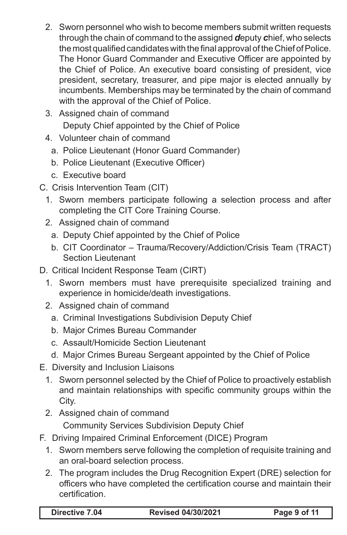- 2. Sworn personnel who wish to become members submit written requests through the chain of command to the assigned *d*eputy *c*hief, who selects the most qualified candidates with the final approval of the Chief of Police. The Honor Guard Commander and Executive Officer are appointed by the Chief of Police. An executive board consisting of president, vice president, secretary, treasurer, and pipe major is elected annually by incumbents. Memberships may be terminated by the chain of command with the approval of the Chief of Police.
- 3. Assigned chain of command Deputy Chief appointed by the Chief of Police
- 4. Volunteer chain of command
	- a. Police Lieutenant (Honor Guard Commander)
	- b. Police Lieutenant (Executive Officer)
	- c. Executive board
- C. Crisis Intervention Team (CIT)
	- 1. Sworn members participate following a selection process and after completing the CIT Core Training Course.
	- 2. Assigned chain of command
		- a. Deputy Chief appointed by the Chief of Police
		- b. CIT Coordinator Trauma/Recovery/Addiction/Crisis Team (TRACT) Section Lieutenant
- D. Critical Incident Response Team (CIRT)
	- 1. Sworn members must have prerequisite specialized training and experience in homicide/death investigations.
	- 2. Assigned chain of command
		- a. Criminal Investigations Subdivision Deputy Chief
		- b. Major Crimes Bureau Commander
		- c. Assault/Homicide Section Lieutenant
		- d. Major Crimes Bureau Sergeant appointed by the Chief of Police
- E. Diversity and Inclusion Liaisons
	- 1. Sworn personnel selected by the Chief of Police to proactively establish and maintain relationships with specific community groups within the City.
	- 2. Assigned chain of command

Community Services Subdivision Deputy Chief

- F. Driving Impaired Criminal Enforcement (DICE) Program
	- 1. Sworn members serve following the completion of requisite training and an oral-board selection process.
	- 2. The program includes the Drug Recognition Expert (DRE) selection for officers who have completed the certification course and maintain their certification.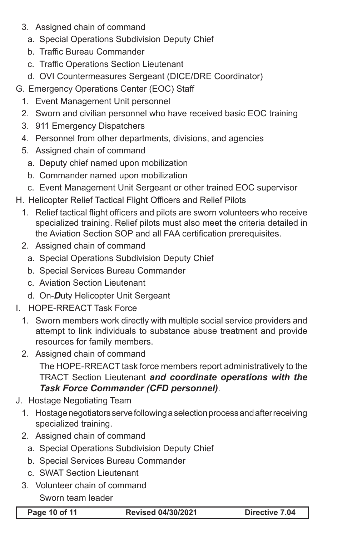- 3. Assigned chain of command
	- a. Special Operations Subdivision Deputy Chief
	- b. Traffic Bureau Commander
	- c. Traffic Operations Section Lieutenant
	- d. OVI Countermeasures Sergeant (DICE/DRE Coordinator)
- G. Emergency Operations Center (EOC) Staff
	- 1. Event Management Unit personnel
	- 2. Sworn and civilian personnel who have received basic EOC training
	- 3. 911 Emergency Dispatchers
	- 4. Personnel from other departments, divisions, and agencies
	- 5. Assigned chain of command
		- a. Deputy chief named upon mobilization
		- b. Commander named upon mobilization
		- c. Event Management Unit Sergeant or other trained EOC supervisor
- H. Helicopter Relief Tactical Flight Officers and Relief Pilots
	- 1. Relief tactical flight officers and pilots are sworn volunteers who receive specialized training. Relief pilots must also meet the criteria detailed in the Aviation Section SOP and all FAA certification prerequisites.
	- 2. Assigned chain of command
		- a. Special Operations Subdivision Deputy Chief
		- b. Special Services Bureau Commander
		- c. Aviation Section Lieutenant
		- d. On-*D*uty Helicopter Unit Sergeant
- I. HOPE-RREACT Task Force
	- 1. Sworn members work directly with multiple social service providers and attempt to link individuals to substance abuse treatment and provide resources for family members.
	- 2. Assigned chain of command

The HOPE-RREACT task force members report administratively to the TRACT Section Lieutenant *and coordinate operations with the Task Force Commander (CFD personnel)*.

### J. Hostage Negotiating Team

- 1. Hostage negotiators serve following a selection process and after receiving specialized training.
- 2. Assigned chain of command
	- a. Special Operations Subdivision Deputy Chief
	- b. Special Services Bureau Commander
	- c. SWAT Section Lieutenant
- 3. Volunteer chain of command

#### Sworn team leader